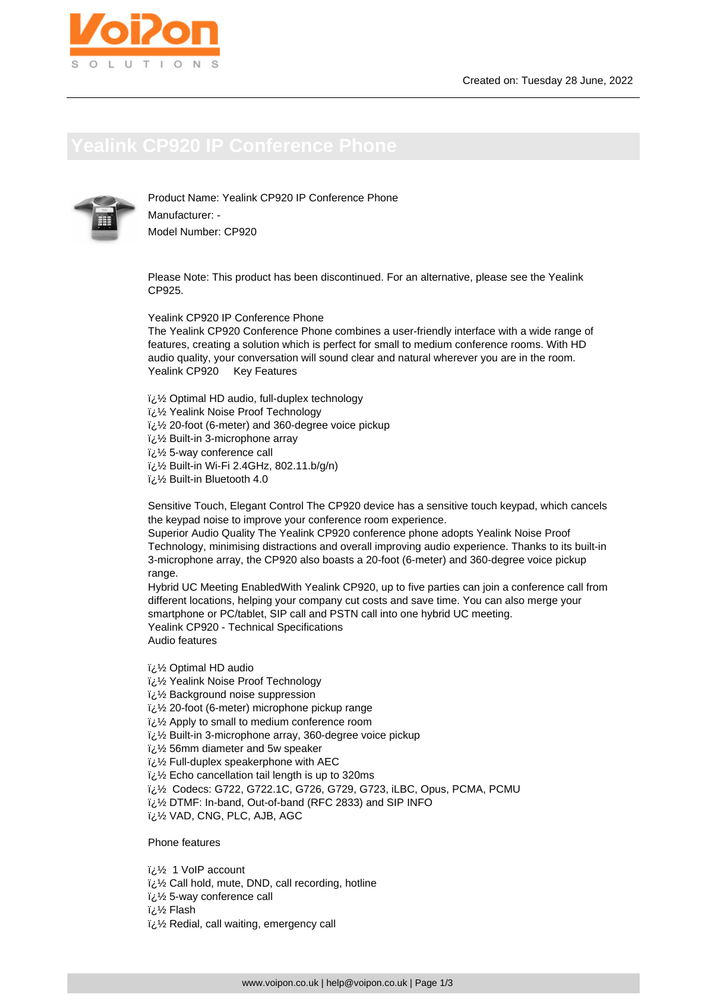

Product Name: Yealink CP920 IP Conference Phone Manufacturer: - Model Number: CP920

Please Note: This product has been discontinued. For an alternative, please see the Yealink CP925.

Yealink CP920 IP Conference Phone

The Yealink CP920 Conference Phone combines a user-friendly interface with a wide range of features, creating a solution which is perfect for small to medium conference rooms. With HD audio quality, your conversation will sound clear and natural wherever you are in the room. Yealink CP920 Key Features

- $i\lambda$ ن 2 Optimal HD audio, full-duplex technology
- � Yealink Noise Proof Technology
- $\frac{1}{2}$ % 20-foot (6-meter) and 360-degree voice pickup
- $\frac{1}{2}$ /2 Built-in 3-microphone array
- $i\lambda$  5-way conference call
- � Built-in Wi-Fi 2.4GHz, 802.11.b/g/n)
- � Built-in Bluetooth 4.0

Sensitive Touch, Elegant Control The CP920 device has a sensitive touch keypad, which cancels the keypad noise to improve your conference room experience.

Superior Audio Quality The Yealink CP920 conference phone adopts Yealink Noise Proof Technology, minimising distractions and overall improving audio experience. Thanks to its built-in 3-microphone array, the CP920 also boasts a 20-foot (6-meter) and 360-degree voice pickup range.

Hybrid UC Meeting EnabledWith Yealink CP920, up to five parties can join a conference call from different locations, helping your company cut costs and save time. You can also merge your smartphone or PC/tablet, SIP call and PSTN call into one hybrid UC meeting. Yealink CP920 - Technical Specifications Audio features

� Optimal HD audio

- $\frac{y}{x}$  Yealink Noise Proof Technology
- $\frac{1}{2}$ /2 Background noise suppression
- $\frac{1}{2}$ لائi $\frac{1}{2}$  20-foot (6-meter) microphone pickup range
- $i\lambda$  Apply to small to medium conference room
- � Built-in 3-microphone array, 360-degree voice pickup
- $\frac{1}{2}$  56mm diameter and 5w speaker
- i<sub>i.</sub> 1/<sub>2</sub> Full-duplex speakerphone with AEC
- $i\lambda$ <sup>2</sup> Echo cancellation tail length is up to 320ms
- � Codecs: G722, G722.1C, G726, G729, G723, iLBC, Opus, PCMA, PCMU
- � DTMF: In-band, Out-of-band (RFC 2833) and SIP INFO
- � VAD, CNG, PLC, AJB, AGC

Phone features

- � 1 VoIP account
- � Call hold, mute, DND, call recording, hotline
- � 5-way conference call
- i<sub>i</sub>:1/<sub>2</sub> Flash
- $\frac{1}{2}$ زi Redial, call waiting, emergency call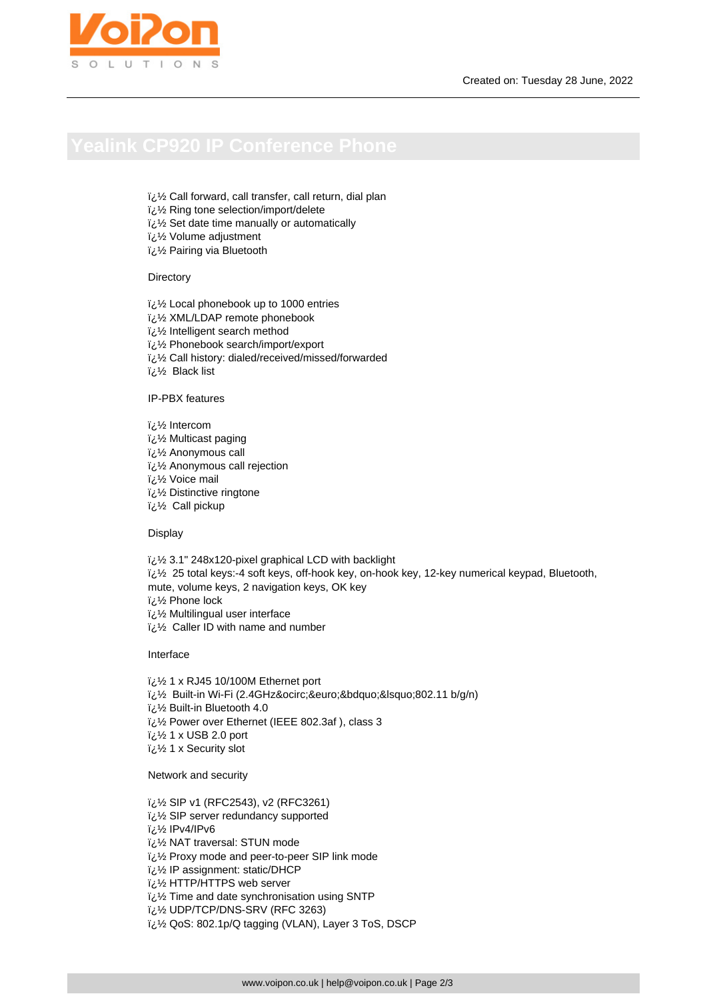- $\frac{1}{2}$ زi Call forward, call transfer, call return, dial plan
- $i\lambda$  Ring tone selection/import/delete
- i¿1/2 Set date time manually or automatically
- $i\lambda$  Volume adjustment
- � Pairing via Bluetooth

## **Directory**

- � Local phonebook up to 1000 entries
- � XML/LDAP remote phonebook
- $\frac{1}{2}$ ا /2 Intelligent search method
- � Phonebook search/import/export
- لُ 1⁄2 Call history: dialed/received/missed/forwarded
- � Black list

# IP-PBX features

lntercom لأن<sup>ت</sup> � Multicast paging � Anonymous call ¿½ Anonymous call rejection � Voice mail � Distinctive ringtone  $i\&\&$  Call pickup

Display

� 3.1" 248x120-pixel graphical LCD with backlight

- $\frac{7}{2}$  25 total keys:-4 soft keys, off-hook key, on-hook key, 12-key numerical keypad, Bluetooth,
- mute, volume keys, 2 navigation keys, OK key

� Phone lock

- لَ 1⁄2 Multilingual user interface
- $i\lambda$ ة Caller ID with name and number

Interface

- � 1 x RJ45 10/100M Ethernet port
- لَائِ Built-in Wi-Fi (2.4GHzô€"'802.11 b/g/n)
- � Built-in Bluetooth 4.0
- � Power over Ethernet (IEEE 802.3af ), class 3
- $\frac{1}{2}$ لائi $\frac{1}{2}$  1 x USB 2.0 port
- � 1 x Security slot

Network and security

- i<sub>i</sub> 1/<sub>2</sub> SIP v1 (RFC2543), v2 (RFC3261)
- � SIP server redundancy supported
- � IPv4/IPv6
- � NAT traversal: STUN mode
- $i\&\frac{1}{2}$  Proxy mode and peer-to-peer SIP link mode
- � IP assignment: static/DHCP
- � HTTP/HTTPS web server
- i¿1/2 Time and date synchronisation using SNTP
- i¿1⁄2 UDP/TCP/DNS-SRV (RFC 3263)
- $i,j$ لاغ $i$  QoS: 802.1p/Q tagging (VLAN), Layer 3 ToS, DSCP